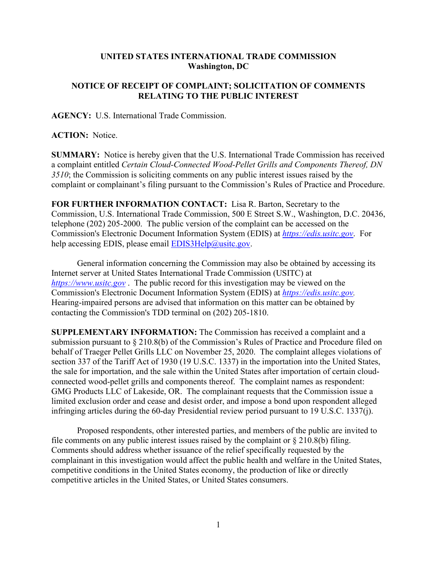## **UNITED STATES INTERNATIONAL TRADE COMMISSION Washington, DC**

## **NOTICE OF RECEIPT OF COMPLAINT; SOLICITATION OF COMMENTS RELATING TO THE PUBLIC INTEREST**

**AGENCY:** U.S. International Trade Commission.

**ACTION:** Notice.

**SUMMARY:** Notice is hereby given that the U.S. International Trade Commission has received a complaint entitled *Certain Cloud-Connected Wood-Pellet Grills and Components Thereof, DN 3510*; the Commission is soliciting comments on any public interest issues raised by the complaint or complainant's filing pursuant to the Commission's Rules of Practice and Procedure.

**FOR FURTHER INFORMATION CONTACT:** Lisa R. Barton, Secretary to the Commission, U.S. International Trade Commission, 500 E Street S.W., Washington, D.C. 20436, telephone (202) 205-2000. The public version of the complaint can be accessed on the Commission's Electronic Document Information System (EDIS) at *[https://edis.usitc.gov](https://edis.usitc.gov/)*. For help accessing EDIS, please email [EDIS3Help@usitc.gov.](mailto:EDIS3Help@usitc.gov)

General information concerning the Commission may also be obtained by accessing its Internet server at United States International Trade Commission (USITC) at *[https://www.usitc.gov](https://www.usitc.gov/)* . The public record for this investigation may be viewed on the Commission's Electronic Document Information System (EDIS) at *[https://edis.usitc.gov.](https://edis.usitc.gov/)* Hearing-impaired persons are advised that information on this matter can be obtained by contacting the Commission's TDD terminal on (202) 205-1810.

**SUPPLEMENTARY INFORMATION:** The Commission has received a complaint and a submission pursuant to § 210.8(b) of the Commission's Rules of Practice and Procedure filed on behalf of Traeger Pellet Grills LLC on November 25, 2020. The complaint alleges violations of section 337 of the Tariff Act of 1930 (19 U.S.C. 1337) in the importation into the United States, the sale for importation, and the sale within the United States after importation of certain cloudconnected wood-pellet grills and components thereof. The complaint names as respondent: GMG Products LLC of Lakeside, OR. The complainant requests that the Commission issue a limited exclusion order and cease and desist order, and impose a bond upon respondent alleged infringing articles during the 60-day Presidential review period pursuant to 19 U.S.C. 1337(j).

Proposed respondents, other interested parties, and members of the public are invited to file comments on any public interest issues raised by the complaint or  $\S 210.8(b)$  filing. Comments should address whether issuance of the relief specifically requested by the complainant in this investigation would affect the public health and welfare in the United States, competitive conditions in the United States economy, the production of like or directly competitive articles in the United States, or United States consumers.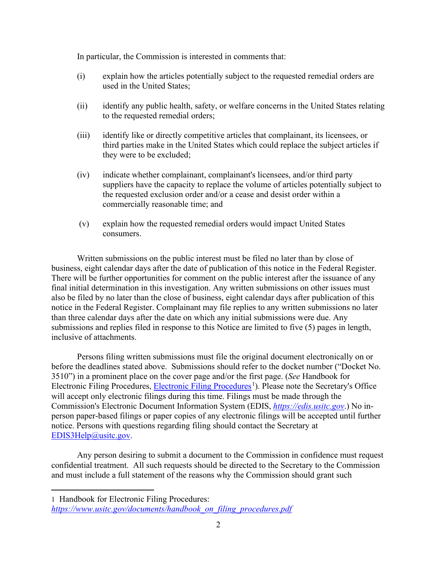In particular, the Commission is interested in comments that:

- (i) explain how the articles potentially subject to the requested remedial orders are used in the United States;
- (ii) identify any public health, safety, or welfare concerns in the United States relating to the requested remedial orders;
- (iii) identify like or directly competitive articles that complainant, its licensees, or third parties make in the United States which could replace the subject articles if they were to be excluded;
- (iv) indicate whether complainant, complainant's licensees, and/or third party suppliers have the capacity to replace the volume of articles potentially subject to the requested exclusion order and/or a cease and desist order within a commercially reasonable time; and
- (v) explain how the requested remedial orders would impact United States consumers.

Written submissions on the public interest must be filed no later than by close of business, eight calendar days after the date of publication of this notice in the Federal Register. There will be further opportunities for comment on the public interest after the issuance of any final initial determination in this investigation. Any written submissions on other issues must also be filed by no later than the close of business, eight calendar days after publication of this notice in the Federal Register. Complainant may file replies to any written submissions no later than three calendar days after the date on which any initial submissions were due. Any submissions and replies filed in response to this Notice are limited to five (5) pages in length, inclusive of attachments.

Persons filing written submissions must file the original document electronically on or before the deadlines stated above. Submissions should refer to the docket number ("Docket No. 3510") in a prominent place on the cover page and/or the first page. (*See* Handbook for Electronic Filing Procedures, [Electronic Filing Procedures](https://www.usitc.gov/documents/handbook_on_filing_procedures.pdf)<sup>[1](#page-1-0)</sup>). Please note the Secretary's Office will accept only electronic filings during this time. Filings must be made through the Commission's Electronic Document Information System (EDIS, *[https://edis.usitc.gov](https://edis.usitc.gov/)*.) No inperson paper-based filings or paper copies of any electronic filings will be accepted until further notice. Persons with questions regarding filing should contact the Secretary at [EDIS3Help@usitc.gov.](mailto:EDIS3Help@usitc.gov)

Any person desiring to submit a document to the Commission in confidence must request confidential treatment. All such requests should be directed to the Secretary to the Commission and must include a full statement of the reasons why the Commission should grant such

<span id="page-1-0"></span><sup>1</sup> Handbook for Electronic Filing Procedures:

*[https://www.usitc.gov/documents/handbook\\_on\\_filing\\_procedures.pdf](https://www.usitc.gov/documents/handbook_on_filing_procedures.pdf)*